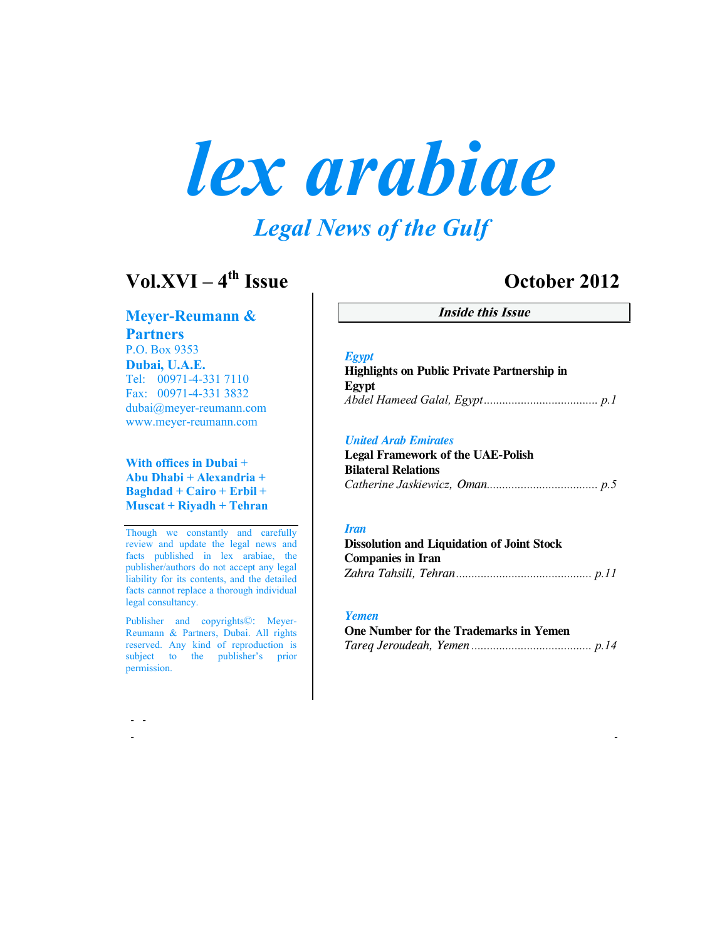# *lex arabiae*

# *Legal News of the Gulf*

# **Vol.XVI – 4th Issue October 2012**

**Meyer-Reumann & Partners** P.O. Box 9353 **Dubai, U.A.E.**

Tel: 00971-4-331 7110 Fax: 00971-4-331 3832 dubai@meyer-reumann.com www.meyer-reumann.com

#### **With offices in Dubai + Abu Dhabi + Alexandria + Baghdad + Cairo + Erbil + Muscat + Riyadh + Tehran**

Though we constantly and carefully review and update the legal news and facts published in lex arabiae, the publisher/authors do not accept any legal liability for its contents, and the detailed facts cannot replace a thorough individual legal consultancy.

Publisher and copyrights©: Meyer-Reumann & Partners, Dubai. All rights reserved. Any kind of reproduction is subject to the publisher's prior permission.

 **- -**

**Inside this Issue**

#### *Egypt*

**Highlights on Public Private Partnership in Egypt** *Abdel Hameed Galal, Egypt..................................... p.1*

#### *United Arab Emirates*

**Legal Framework of the UAE-Polish Bilateral Relations**  *Catherine Jaskiewicz, Oman.................................... p.5*

#### *Iran*

| <b>Dissolution and Liquidation of Joint Stock</b> |  |
|---------------------------------------------------|--|
| Companies in Iran                                 |  |
|                                                   |  |

#### *Yemen*

 **- -** 

| One Number for the Trademarks in Yemen |  |
|----------------------------------------|--|
|                                        |  |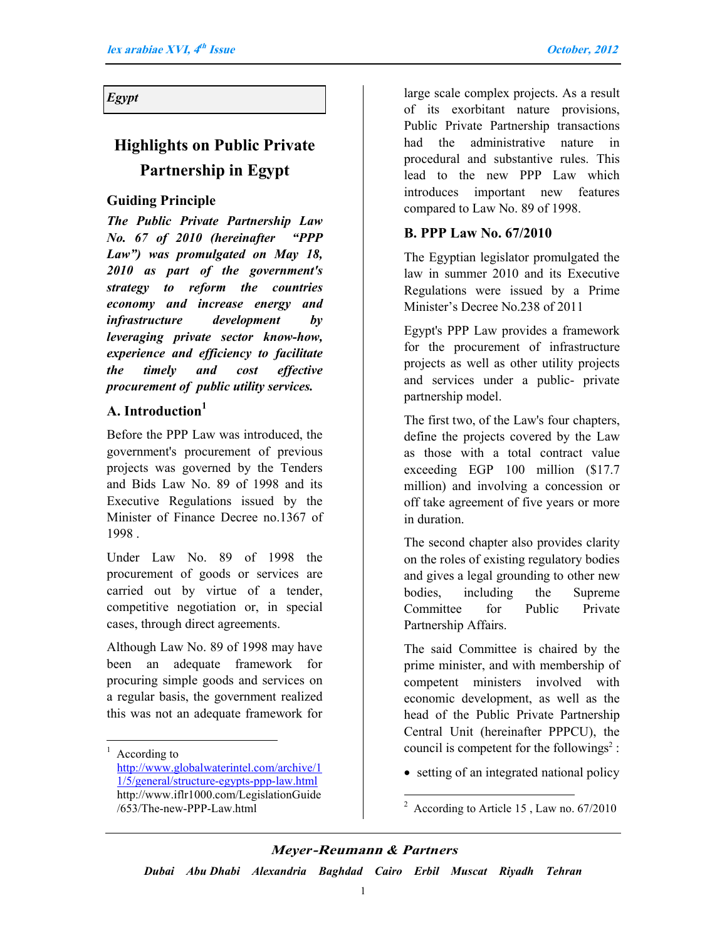*Egypt*

# **Highlights on Public Private Partnership in Egypt**

#### **Guiding Principle**

*The Public Private Partnership Law No. 67 of 2010 (hereinafter "PPP Law") was promulgated on May 18, 2010 as part of the government's strategy to reform the countries economy and increase energy and infrastructure development by leveraging private sector know-how, experience and efficiency to facilitate the timely and cost effective procurement of public utility services.*

#### **A. Introduction<sup>1</sup>**

Before the PPP Law was introduced, the government's procurement of previous projects was governed by the Tenders and Bids Law No. 89 of 1998 and its Executive Regulations issued by the Minister of Finance Decree no.1367 of 1998 .

Under Law No. 89 of 1998 the procurement of goods or services are carried out by virtue of a tender, competitive negotiation or, in special cases, through direct agreements.

Although Law No. 89 of 1998 may have been an adequate framework for procuring simple goods and services on a regular basis, the government realized this was not an adequate framework for

 $\overline{a}$ 

large scale complex projects. As a result of its exorbitant nature provisions, Public Private Partnership transactions had the administrative nature in procedural and substantive rules. This lead to the new PPP Law which introduces important new features compared to Law No. 89 of 1998.

#### **B. PPP Law No. 67/2010**

The Egyptian legislator promulgated the law in summer 2010 and its Executive Regulations were issued by a Prime Minister's Decree No.238 of 2011

Egypt's PPP Law provides a framework for the procurement of infrastructure projects as well as other utility projects and services under a public- private partnership model.

The first two, of the Law's four chapters, define the projects covered by the Law as those with a total contract value exceeding EGP 100 million (\$17.7 million) and involving a concession or off take agreement of five years or more in duration.

The second chapter also provides clarity on the roles of existing regulatory bodies and gives a legal grounding to other new bodies, including the Supreme Committee for Public Private Partnership Affairs.

The said Committee is chaired by the prime minister, and with membership of competent ministers involved with economic development, as well as the head of the Public Private Partnership Central Unit (hereinafter PPPCU), the council is competent for the followings<sup>2</sup>:

• setting of an integrated national policy

#### *Meyer***-Reumann** *& Partners*

 $\overline{a}$ 

<sup>1</sup> According to

http://www.globalwaterintel.com/archive/1 1/5/general/structure-egypts-ppp-law.html http://www.iflr1000.com/LegislationGuide /653/The-new-PPP-Law.html

 $2 \text{ According to Article 15}$ , Law no. 67/2010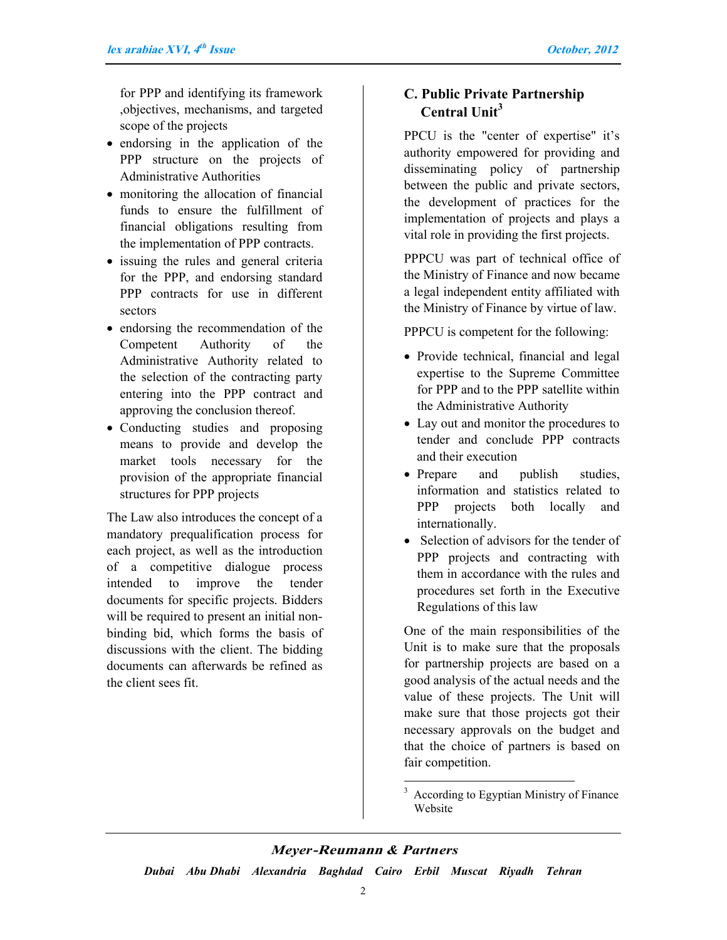for PPP and identifying its framework ,objectives, mechanisms, and targeted scope of the projects

- endorsing in the application of the PPP structure on the projects of Administrative Authorities
- monitoring the allocation of financial funds to ensure the fulfillment of financial obligations resulting from the implementation of PPP contracts.
- issuing the rules and general criteria for the PPP, and endorsing standard PPP contracts for use in different sectors
- endorsing the recommendation of the Competent Authority of the Administrative Authority related to the selection of the contracting party entering into the PPP contract and approving the conclusion thereof.
- Conducting studies and proposing means to provide and develop the market tools necessary for the provision of the appropriate financial structures for PPP projects

The Law also introduces the concept of a mandatory prequalification process for each project, as well as the introduction of a competitive dialogue process intended to improve the tender documents for specific projects. Bidders will be required to present an initial nonbinding bid, which forms the basis of discussions with the client. The bidding documents can afterwards be refined as the client sees fit.

#### **C. Public Private Partnership Central Unit<sup>3</sup>**

PPCU is the "center of expertise" it's authority empowered for providing and disseminating policy of partnership between the public and private sectors, the development of practices for the implementation of projects and plays a vital role in providing the first projects.

PPPCU was part of technical office of the Ministry of Finance and now became a legal independent entity affiliated with the Ministry of Finance by virtue of law.

PPPCU is competent for the following:

- Provide technical, financial and legal expertise to the Supreme Committee for PPP and to the PPP satellite within the Administrative Authority
- Lay out and monitor the procedures to tender and conclude PPP contracts and their execution
- Prepare and publish studies, information and statistics related to PPP projects both locally and internationally.
- Selection of advisors for the tender of PPP projects and contracting with them in accordance with the rules and procedures set forth in the Executive Regulations of this law

One of the main responsibilities of the Unit is to make sure that the proposals for partnership projects are based on a good analysis of the actual needs and the value of these projects. The Unit will make sure that those projects got their necessary approvals on the budget and that the choice of partners is based on fair competition.

#### *Meyer***-Reumann** *& Partners*

 $\overline{a}$ 

<sup>&</sup>lt;sup>3</sup> According to Egyptian Ministry of Finance Website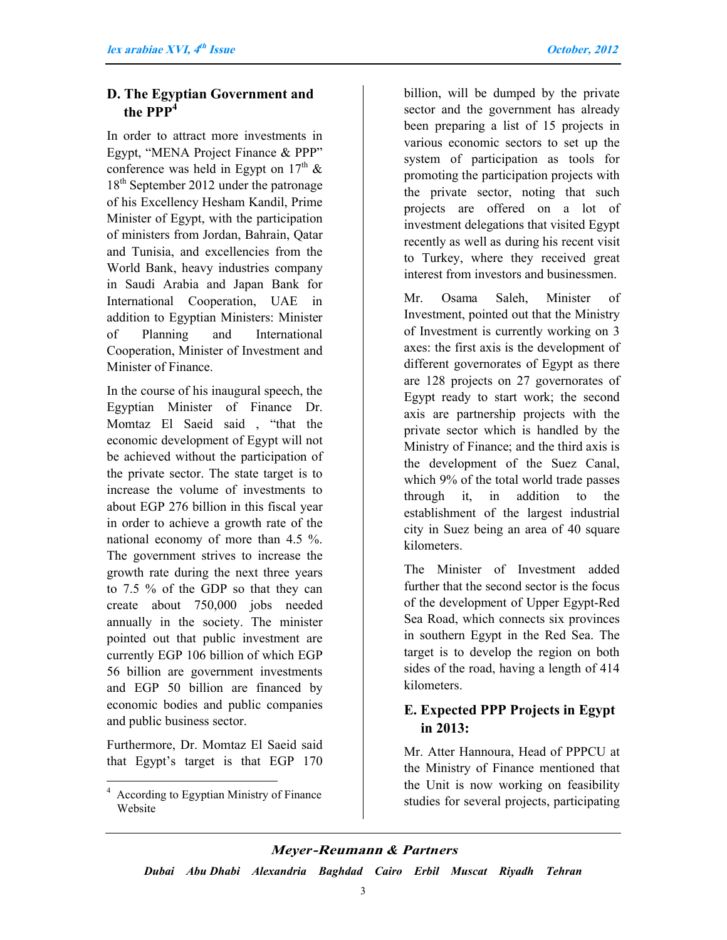#### **D. The Egyptian Government and the PPP<sup>4</sup>**

In order to attract more investments in Egypt, "MENA Project Finance & PPP" conference was held in Egypt on  $17<sup>th</sup>$  &  $18<sup>th</sup>$  September 2012 under the patronage of his Excellency Hesham Kandil, Prime Minister of Egypt, with the participation of ministers from Jordan, Bahrain, Qatar and Tunisia, and excellencies from the World Bank, heavy industries company in Saudi Arabia and Japan Bank for International Cooperation, UAE in addition to Egyptian Ministers: Minister of Planning and International Cooperation, Minister of Investment and Minister of Finance.

In the course of his inaugural speech, the Egyptian Minister of Finance Dr. Momtaz El Saeid said , "that the economic development of Egypt will not be achieved without the participation of the private sector. The state target is to increase the volume of investments to about EGP 276 billion in this fiscal year in order to achieve a growth rate of the national economy of more than 4.5 %. The government strives to increase the growth rate during the next three years to 7.5 % of the GDP so that they can create about 750,000 jobs needed annually in the society. The minister pointed out that public investment are currently EGP 106 billion of which EGP 56 billion are government investments and EGP 50 billion are financed by economic bodies and public companies and public business sector.

Furthermore, Dr. Momtaz El Saeid said that Egypt's target is that EGP 170

 $\overline{a}$ 

billion, will be dumped by the private sector and the government has already been preparing a list of 15 projects in various economic sectors to set up the system of participation as tools for promoting the participation projects with the private sector, noting that such projects are offered on a lot of investment delegations that visited Egypt recently as well as during his recent visit to Turkey, where they received great interest from investors and businessmen.

Mr. Osama Saleh, Minister of Investment, pointed out that the Ministry of Investment is currently working on 3 axes: the first axis is the development of different governorates of Egypt as there are 128 projects on 27 governorates of Egypt ready to start work; the second axis are partnership projects with the private sector which is handled by the Ministry of Finance; and the third axis is the development of the Suez Canal, which 9% of the total world trade passes through it, in addition to the establishment of the largest industrial city in Suez being an area of 40 square kilometers.

The Minister of Investment added further that the second sector is the focus of the development of Upper Egypt-Red Sea Road, which connects six provinces in southern Egypt in the Red Sea. The target is to develop the region on both sides of the road, having a length of 414 kilometers.

#### **E. Expected PPP Projects in Egypt in 2013:**

Mr. Atter Hannoura, Head of PPPCU at the Ministry of Finance mentioned that the Unit is now working on feasibility studies for several projects, participating

#### *Meyer***-Reumann** *& Partners*

<sup>&</sup>lt;sup>4</sup> According to Egyptian Ministry of Finance Website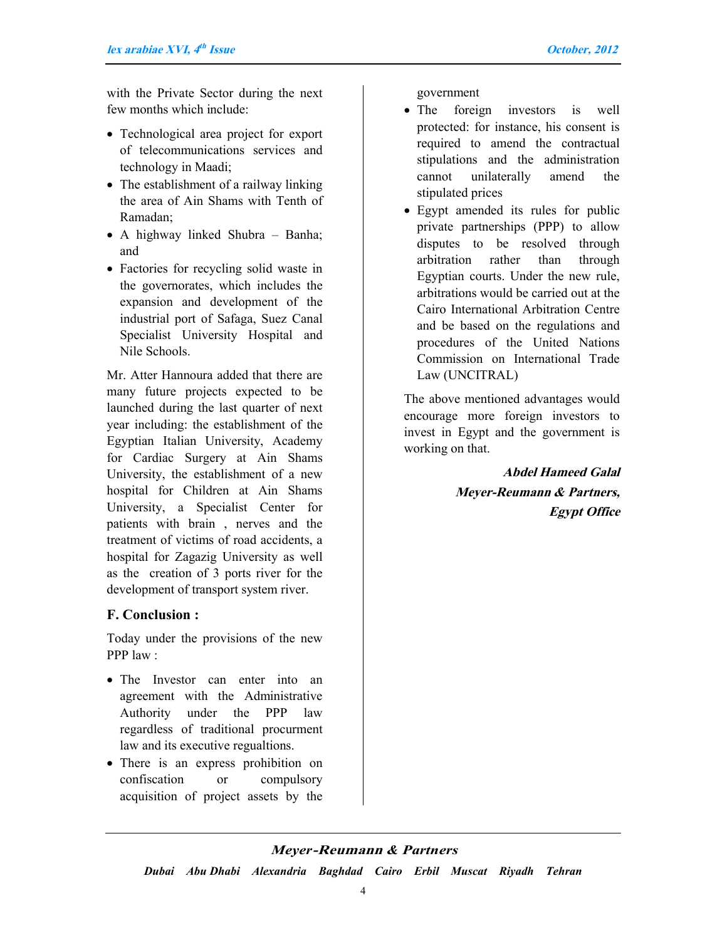with the Private Sector during the next few months which include:

- Technological area project for export of telecommunications services and technology in Maadi;
- The establishment of a railway linking the area of Ain Shams with Tenth of Ramadan;
- A highway linked Shubra Banha; and
- Factories for recycling solid waste in the governorates, which includes the expansion and development of the industrial port of Safaga, Suez Canal Specialist University Hospital and Nile Schools.

Mr. Atter Hannoura added that there are many future projects expected to be launched during the last quarter of next year including: the establishment of the Egyptian Italian University, Academy for Cardiac Surgery at Ain Shams University, the establishment of a new hospital for Children at Ain Shams University, a Specialist Center for patients with brain , nerves and the treatment of victims of road accidents, a hospital for Zagazig University as well as the creation of 3 ports river for the development of transport system river.

#### **F. Conclusion :**

Today under the provisions of the new PPP law :

- The Investor can enter into an agreement with the Administrative Authority under the PPP law regardless of traditional procurment law and its executive regualtions.
- There is an express prohibition on confiscation or compulsory acquisition of project assets by the

government

- The foreign investors is well protected: for instance, his consent is required to amend the contractual stipulations and the administration cannot unilaterally amend the stipulated prices
- Egypt amended its rules for public private partnerships (PPP) to allow disputes to be resolved through arbitration rather than through Egyptian courts. Under the new rule, arbitrations would be carried out at the Cairo International Arbitration Centre and be based on the regulations and procedures of the United Nations Commission on International Trade Law (UNCITRAL)

The above mentioned advantages would encourage more foreign investors to invest in Egypt and the government is working on that.

> **Abdel Hameed Galal Meyer-Reumann & Partners, Egypt Office**

#### *Meyer***-Reumann** *& Partners*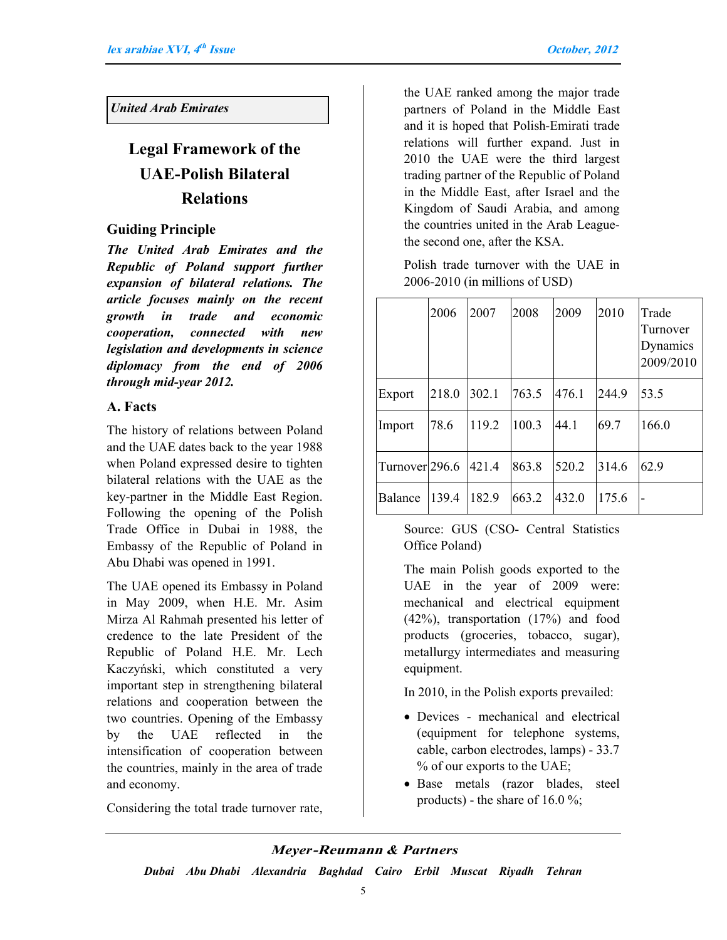#### *United Arab Emirates*

# **Legal Framework of the UAE-Polish Bilateral Relations**

#### **Guiding Principle**

*The United Arab Emirates and the Republic of Poland support further expansion of bilateral relations. The article focuses mainly on the recent growth in trade and economic cooperation, connected with new legislation and developments in science diplomacy from the end of 2006 through mid-year 2012.*

#### **A. Facts**

The history of relations between Poland and the UAE dates back to the year 1988 when Poland expressed desire to tighten bilateral relations with the UAE as the key-partner in the Middle East Region. Following the opening of the Polish Trade Office in Dubai in 1988, the Embassy of the Republic of Poland in Abu Dhabi was opened in 1991.

The UAE opened its Embassy in Poland in May 2009, when H.E. Mr. Asim Mirza Al Rahmah presented his letter of credence to the late President of the Republic of Poland H.E. Mr. Lech Kaczyński, which constituted a very important step in strengthening bilateral relations and cooperation between the two countries. Opening of the Embassy by the UAE reflected in the intensification of cooperation between the countries, mainly in the area of trade and economy.

Considering the total trade turnover rate,

the UAE ranked among the major trade partners of Poland in the Middle East and it is hoped that Polish-Emirati trade relations will further expand. Just in 2010 the UAE were the third largest trading partner of the Republic of Poland in the Middle East, after Israel and the Kingdom of Saudi Arabia, and among the countries united in the Arab Leaguethe second one, after the KSA.

Polish trade turnover with the UAE in 2006-2010 (in millions of USD)

|                | 2006  | 2007  | 2008  | 2009  | 2010  | Trade<br>Turnover<br>Dynamics<br>2009/2010 |
|----------------|-------|-------|-------|-------|-------|--------------------------------------------|
| Export         | 218.0 | 302.1 | 763.5 | 476.1 | 244.9 | 53.5                                       |
| Import         | 78.6  | 119.2 | 100.3 | 44.1  | 69.7  | 166.0                                      |
| Turnover 296.6 |       | 421.4 | 863.8 | 520.2 | 314.6 | 62.9                                       |
| Balance        | 139.4 | 182.9 | 663.2 | 432.0 | 175.6 | -                                          |

Source: GUS (CSO- Central Statistics Office Poland)

The main Polish goods exported to the UAE in the year of 2009 were: mechanical and electrical equipment (42%), transportation (17%) and food products (groceries, tobacco, sugar), metallurgy intermediates and measuring equipment.

In 2010, in the Polish exports prevailed:

- Devices mechanical and electrical (equipment for telephone systems, cable, carbon electrodes, lamps) - 33.7 % of our exports to the UAE;
- Base metals (razor blades, steel products) - the share of  $16.0\%$ ;

#### *Meyer***-Reumann** *& Partners*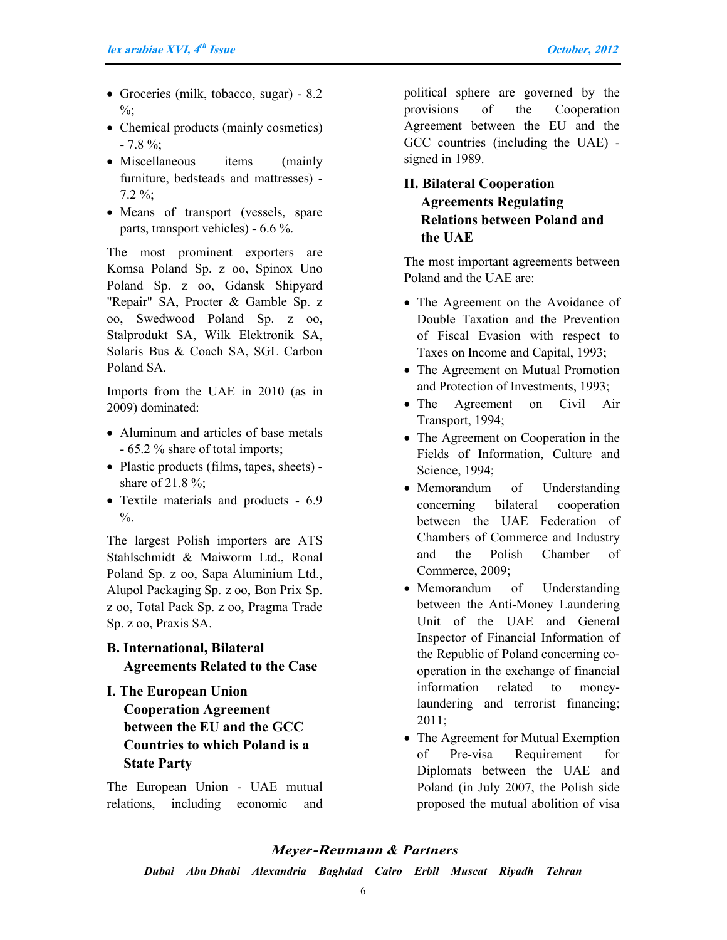- Groceries (milk, tobacco, sugar) 8.2  $\%$ ;
- Chemical products (mainly cosmetics)  $-7.8 \%$ ;
- Miscellaneous items (mainly furniture, bedsteads and mattresses) - 7.2 %;
- Means of transport (vessels, spare parts, transport vehicles) - 6.6 %.

The most prominent exporters are Komsa Poland Sp. z oo, Spinox Uno Poland Sp. z oo, Gdansk Shipyard "Repair" SA, Procter & Gamble Sp. z oo, Swedwood Poland Sp. z oo, Stalprodukt SA, Wilk Elektronik SA, Solaris Bus & Coach SA, SGL Carbon Poland SA.

Imports from the UAE in 2010 (as in 2009) dominated:

- Aluminum and articles of base metals - 65.2 % share of total imports;
- Plastic products (films, tapes, sheets) share of 21.8 %;
- Textile materials and products 6.9  $\frac{0}{6}$ .

The largest Polish importers are ATS Stahlschmidt & Maiworm Ltd., Ronal Poland Sp. z oo, Sapa Aluminium Ltd., Alupol Packaging Sp. z oo, Bon Prix Sp. z oo, Total Pack Sp. z oo, Pragma Trade Sp. z oo, Praxis SA.

**B. International, Bilateral Agreements Related to the Case**

**I. The European Union Cooperation Agreement between the EU and the GCC Countries to which Poland is a State Party** 

The European Union - UAE mutual relations, including economic and political sphere are governed by the provisions of the Cooperation Agreement between the EU and the GCC countries (including the UAE) signed in 1989.

#### **II. Bilateral Cooperation Agreements Regulating Relations between Poland and the UAE**

The most important agreements between Poland and the UAE are:

- The Agreement on the Avoidance of Double Taxation and the Prevention of Fiscal Evasion with respect to Taxes on Income and Capital, 1993;
- The Agreement on Mutual Promotion and Protection of Investments, 1993;
- The Agreement on Civil Air Transport, 1994;
- The Agreement on Cooperation in the Fields of Information, Culture and Science, 1994;
- Memorandum of Understanding concerning bilateral cooperation between the UAE Federation of Chambers of Commerce and Industry and the Polish Chamber of Commerce, 2009;
- Memorandum of Understanding between the Anti-Money Laundering Unit of the UAE and General Inspector of Financial Information of the Republic of Poland concerning cooperation in the exchange of financial information related to moneylaundering and terrorist financing; 2011;
- The Agreement for Mutual Exemption of Pre-visa Requirement for Diplomats between the UAE and Poland (in July 2007, the Polish side proposed the mutual abolition of visa

#### *Meyer***-Reumann** *& Partners*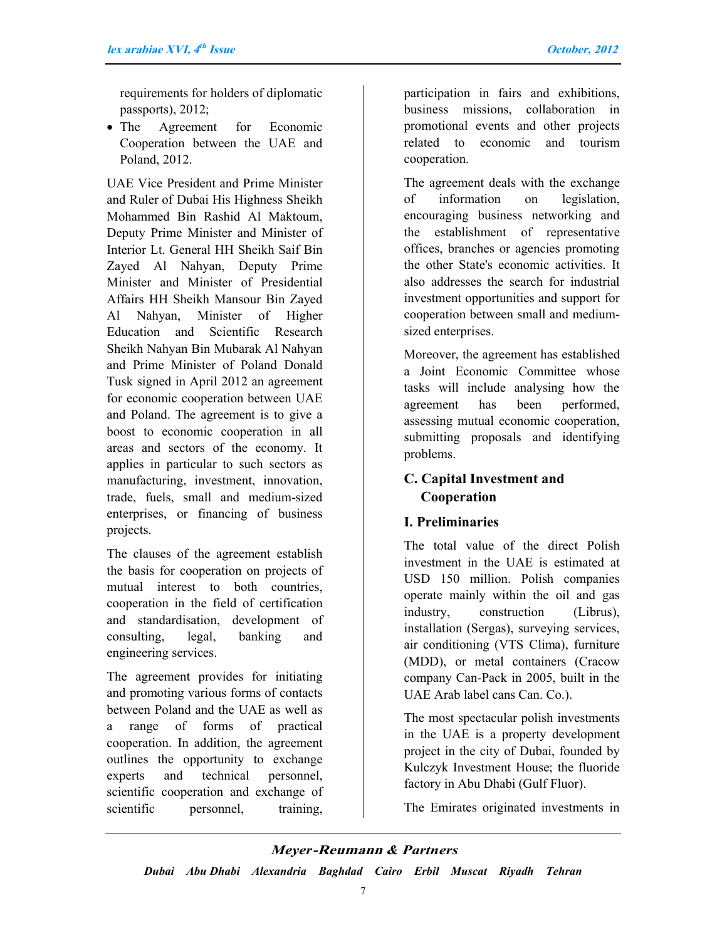requirements for holders of diplomatic passports), 2012;

• The Agreement for Economic Cooperation between the UAE and Poland, 2012.

UAE Vice President and Prime Minister and Ruler of Dubai His Highness Sheikh Mohammed Bin Rashid Al Maktoum, Deputy Prime Minister and Minister of Interior Lt. General HH Sheikh Saif Bin Zayed Al Nahyan, Deputy Prime Minister and Minister of Presidential Affairs HH Sheikh Mansour Bin Zayed Al Nahyan, Minister of Higher Education and Scientific Research Sheikh Nahyan Bin Mubarak Al Nahyan and Prime Minister of Poland Donald Tusk signed in April 2012 an agreement for economic cooperation between UAE and Poland. The agreement is to give a boost to economic cooperation in all areas and sectors of the economy. It applies in particular to such sectors as manufacturing, investment, innovation, trade, fuels, small and medium-sized enterprises, or financing of business projects.

The clauses of the agreement establish the basis for cooperation on projects of mutual interest to both countries, cooperation in the field of certification and standardisation, development of consulting, legal, banking and engineering services.

The agreement provides for initiating and promoting various forms of contacts between Poland and the UAE as well as a range of forms of practical cooperation. In addition, the agreement outlines the opportunity to exchange experts and technical personnel, scientific cooperation and exchange of scientific personnel, training, participation in fairs and exhibitions, business missions, collaboration in promotional events and other projects related to economic and tourism cooperation.

The agreement deals with the exchange of information on legislation, encouraging business networking and the establishment of representative offices, branches or agencies promoting the other State's economic activities. It also addresses the search for industrial investment opportunities and support for cooperation between small and mediumsized enterprises.

Moreover, the agreement has established a Joint Economic Committee whose tasks will include analysing how the agreement has been performed, assessing mutual economic cooperation, submitting proposals and identifying problems.

### **C. Capital Investment and Cooperation**

#### **I. Preliminaries**

The total value of the direct Polish investment in the UAE is estimated at USD 150 million. Polish companies operate mainly within the oil and gas industry, construction (Librus), installation (Sergas), surveying services, air conditioning (VTS Clima), furniture (MDD), or metal containers (Cracow company Can-Pack in 2005, built in the UAE Arab label cans Can. Co.).

The most spectacular polish investments in the UAE is a property development project in the city of Dubai, founded by Kulczyk Investment House; the fluoride factory in Abu Dhabi (Gulf Fluor).

The Emirates originated investments in

#### *Meyer***-Reumann** *& Partners*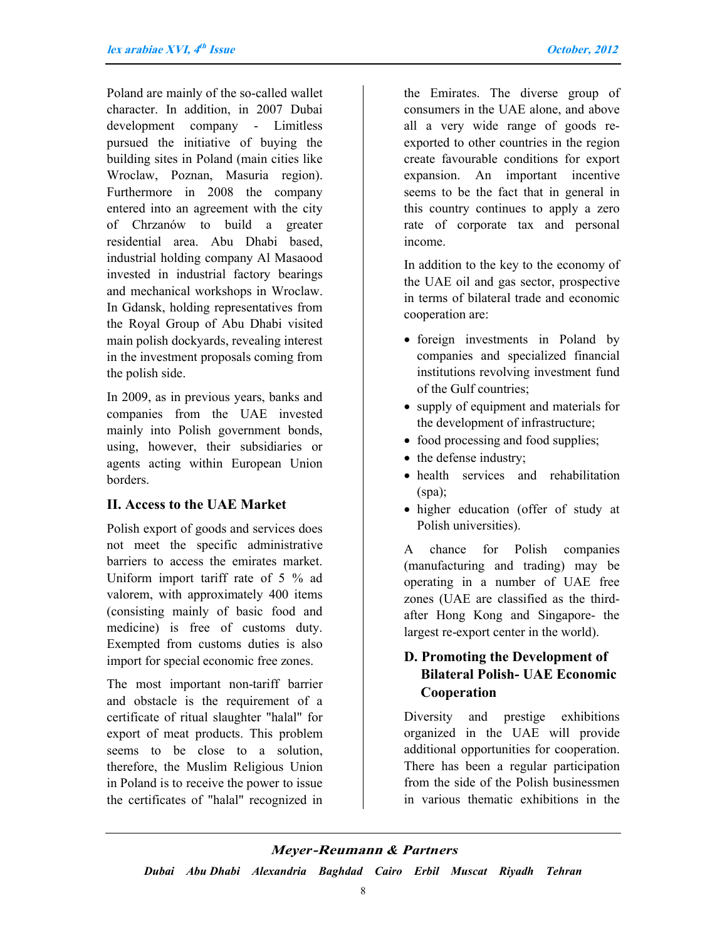Poland are mainly of the so-called wallet character. In addition, in 2007 Dubai development company - Limitless pursued the initiative of buying the building sites in Poland (main cities like Wroclaw, Poznan, Masuria region). Furthermore in 2008 the company entered into an agreement with the city of Chrzanów to build a greater residential area. Abu Dhabi based, industrial holding company Al Masaood invested in industrial factory bearings and mechanical workshops in Wroclaw. In Gdansk, holding representatives from the Royal Group of Abu Dhabi visited main polish dockyards, revealing interest in the investment proposals coming from the polish side.

In 2009, as in previous years, banks and companies from the UAE invested mainly into Polish government bonds, using, however, their subsidiaries or agents acting within European Union borders.

#### **II. Access to the UAE Market**

Polish export of goods and services does not meet the specific administrative barriers to access the emirates market. Uniform import tariff rate of 5 % ad valorem, with approximately 400 items (consisting mainly of basic food and medicine) is free of customs duty. Exempted from customs duties is also import for special economic free zones.

The most important non-tariff barrier and obstacle is the requirement of a certificate of ritual slaughter "halal" for export of meat products. This problem seems to be close to a solution, therefore, the Muslim Religious Union in Poland is to receive the power to issue the certificates of "halal" recognized in

the Emirates. The diverse group of consumers in the UAE alone, and above all a very wide range of goods reexported to other countries in the region create favourable conditions for export expansion. An important incentive seems to be the fact that in general in this country continues to apply a zero rate of corporate tax and personal income.

In addition to the key to the economy of the UAE oil and gas sector, prospective in terms of bilateral trade and economic cooperation are:

- foreign investments in Poland by companies and specialized financial institutions revolving investment fund of the Gulf countries;
- supply of equipment and materials for the development of infrastructure;
- food processing and food supplies;
- the defense industry;
- health services and rehabilitation (spa);
- higher education (offer of study at Polish universities).

A chance for Polish companies (manufacturing and trading) may be operating in a number of UAE free zones (UAE are classified as the thirdafter Hong Kong and Singapore- the largest re-export center in the world).

#### **D. Promoting the Development of Bilateral Polish- UAE Economic Cooperation**

Diversity and prestige exhibitions organized in the UAE will provide additional opportunities for cooperation. There has been a regular participation from the side of the Polish businessmen in various thematic exhibitions in the

#### *Meyer***-Reumann** *& Partners*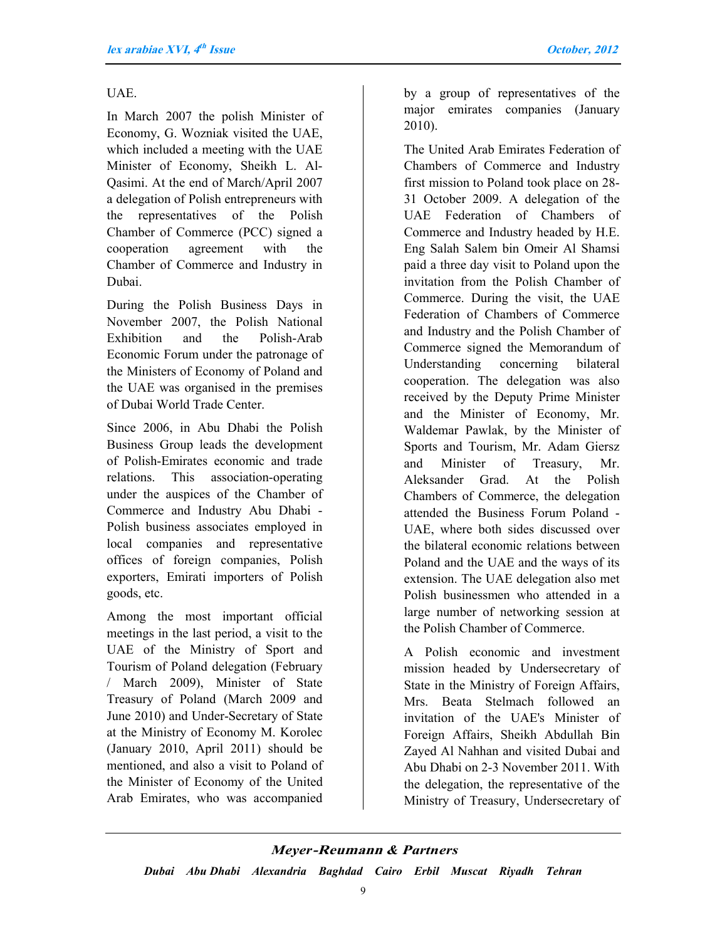#### UAE.

In March 2007 the polish Minister of Economy, G. Wozniak visited the UAE, which included a meeting with the UAE Minister of Economy, Sheikh L. Al-Qasimi. At the end of March/April 2007 a delegation of Polish entrepreneurs with the representatives of the Polish Chamber of Commerce (PCC) signed a cooperation agreement with the Chamber of Commerce and Industry in Dubai.

During the Polish Business Days in November 2007, the Polish National Exhibition and the Polish-Arab Economic Forum under the patronage of the Ministers of Economy of Poland and the UAE was organised in the premises of Dubai World Trade Center.

Since 2006, in Abu Dhabi the Polish Business Group leads the development of Polish-Emirates economic and trade relations. This association-operating under the auspices of the Chamber of Commerce and Industry Abu Dhabi - Polish business associates employed in local companies and representative offices of foreign companies, Polish exporters, Emirati importers of Polish goods, etc.

Among the most important official meetings in the last period, a visit to the UAE of the Ministry of Sport and Tourism of Poland delegation (February / March 2009), Minister of State Treasury of Poland (March 2009 and June 2010) and Under-Secretary of State at the Ministry of Economy M. Korolec (January 2010, April 2011) should be mentioned, and also a visit to Poland of the Minister of Economy of the United Arab Emirates, who was accompanied

by a group of representatives of the major emirates companies (January 2010).

The United Arab Emirates Federation of Chambers of Commerce and Industry first mission to Poland took place on 28- 31 October 2009. A delegation of the UAE Federation of Chambers of Commerce and Industry headed by H.E. Eng Salah Salem bin Omeir Al Shamsi paid a three day visit to Poland upon the invitation from the Polish Chamber of Commerce. During the visit, the UAE Federation of Chambers of Commerce and Industry and the Polish Chamber of Commerce signed the Memorandum of Understanding concerning bilateral cooperation. The delegation was also received by the Deputy Prime Minister and the Minister of Economy, Mr. Waldemar Pawlak, by the Minister of Sports and Tourism, Mr. Adam Giersz and Minister of Treasury, Mr. Aleksander Grad. At the Polish Chambers of Commerce, the delegation attended the Business Forum Poland - UAE, where both sides discussed over the bilateral economic relations between Poland and the UAE and the ways of its extension. The UAE delegation also met Polish businessmen who attended in a large number of networking session at the Polish Chamber of Commerce.

A Polish economic and investment mission headed by Undersecretary of State in the Ministry of Foreign Affairs, Mrs. Beata Stelmach followed an invitation of the UAE's Minister of Foreign Affairs, Sheikh Abdullah Bin Zayed Al Nahhan and visited Dubai and Abu Dhabi on 2-3 November 2011. With the delegation, the representative of the Ministry of Treasury, Undersecretary of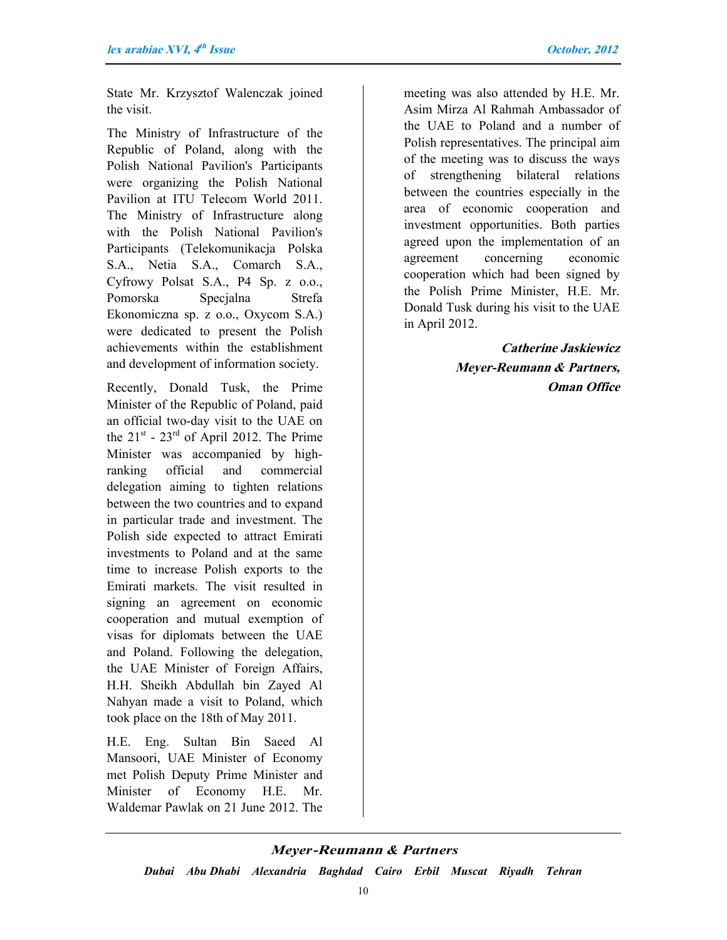State Mr. Krzysztof Walenczak joined the visit.

The Ministry of Infrastructure of the Republic of Poland, along with the Polish National Pavilion's Participants were organizing the Polish National Pavilion at ITU Telecom World 2011. The Ministry of Infrastructure along with the Polish National Pavilion's Participants (Telekomunikacja Polska S.A., Netia S.A., Comarch S.A., Cyfrowy Polsat S.A., P4 Sp. z o.o., Pomorska Specjalna Strefa Ekonomiczna sp. z o.o., Oxycom S.A.) were dedicated to present the Polish achievements within the establishment and development of information society.

Recently, Donald Tusk, the Prime Minister of the Republic of Poland, paid an official two-day visit to the UAE on the  $21<sup>st</sup>$  -  $23<sup>rd</sup>$  of April 2012. The Prime Minister was accompanied by highranking official and commercial delegation aiming to tighten relations between the two countries and to expand in particular trade and investment. The Polish side expected to attract Emirati investments to Poland and at the same time to increase Polish exports to the Emirati markets. The visit resulted in signing an agreement on economic cooperation and mutual exemption of visas for diplomats between the UAE and Poland. Following the delegation, the UAE Minister of Foreign Affairs, H.H. Sheikh Abdullah bin Zayed Al Nahyan made a visit to Poland, which took place on the 18th of May 2011.

H.E. Eng. Sultan Bin Saeed Al Mansoori, UAE Minister of Economy met Polish Deputy Prime Minister and Minister of Economy H.E. Mr. Waldemar Pawlak on 21 June 2012. The meeting was also attended by H.E. Mr. Asim Mirza Al Rahmah Ambassador of the UAE to Poland and a number of Polish representatives. The principal aim of the meeting was to discuss the ways of strengthening bilateral relations between the countries especially in the area of economic cooperation and investment opportunities. Both parties agreed upon the implementation of an agreement concerning economic cooperation which had been signed by the Polish Prime Minister, H.E. Mr. Donald Tusk during his visit to the UAE in April 2012.

> **Catherine Jaskiewicz Meyer-Reumann & Partners, Oman Office**

#### *Meyer***-Reumann** *& Partners*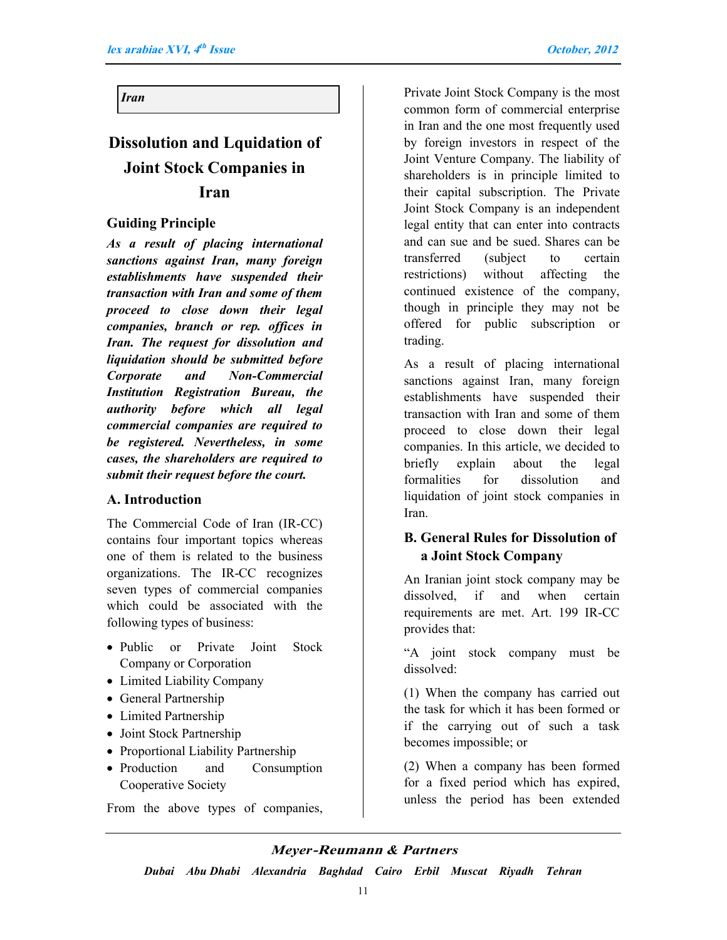*Iran*

# **Dissolution and Lquidation of Joint Stock Companies in Iran**

#### **Guiding Principle**

*As a result of placing international sanctions against Iran, many foreign establishments have suspended their transaction with Iran and some of them proceed to close down their legal companies, branch or rep. offices in Iran. The request for dissolution and liquidation should be submitted before Corporate and Non-Commercial Institution Registration Bureau, the authority before which all legal commercial companies are required to be registered. Nevertheless, in some cases, the shareholders are required to submit their request before the court.*

#### **A. Introduction**

The Commercial Code of Iran (IR-CC) contains four important topics whereas one of them is related to the business organizations. The IR-CC recognizes seven types of commercial companies which could be associated with the following types of business:

- Public or Private Joint Stock Company or Corporation
- Limited Liability Company
- General Partnership
- Limited Partnership
- Joint Stock Partnership
- Proportional Liability Partnership
- Production and Consumption Cooperative Society

From the above types of companies,

Private Joint Stock Company is the most common form of commercial enterprise in Iran and the one most frequently used by foreign investors in respect of the Joint Venture Company. The liability of shareholders is in principle limited to their capital subscription. The Private Joint Stock Company is an independent legal entity that can enter into contracts and can sue and be sued. Shares can be transferred (subject to certain restrictions) without affecting the continued existence of the company, though in principle they may not be offered for public subscription or trading.

As a result of placing international sanctions against Iran, many foreign establishments have suspended their transaction with Iran and some of them proceed to close down their legal companies. In this article, we decided to briefly explain about the legal formalities for dissolution and liquidation of joint stock companies in Iran.

#### **B. General Rules for Dissolution of a Joint Stock Company**

An Iranian joint stock company may be dissolved, if and when certain requirements are met. Art. 199 IR-CC provides that:

"A joint stock company must be dissolved:

(1) When the company has carried out the task for which it has been formed or if the carrying out of such a task becomes impossible; or

(2) When a company has been formed for a fixed period which has expired, unless the period has been extended

#### *Meyer***-Reumann** *& Partners*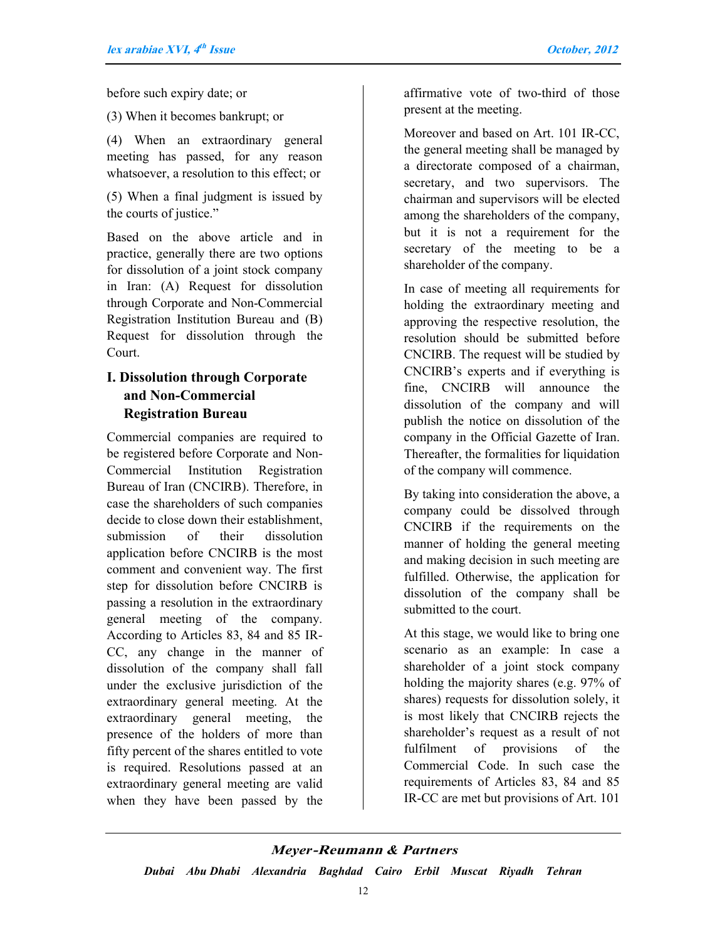before such expiry date; or

(3) When it becomes bankrupt; or

(4) When an extraordinary general meeting has passed, for any reason whatsoever, a resolution to this effect; or

(5) When a final judgment is issued by the courts of justice."

Based on the above article and in practice, generally there are two options for dissolution of a joint stock company in Iran: (A) Request for dissolution through Corporate and Non-Commercial Registration Institution Bureau and (B) Request for dissolution through the Court.

### **I. Dissolution through Corporate and Non-Commercial Registration Bureau**

Commercial companies are required to be registered before Corporate and Non-Commercial Institution Registration Bureau of Iran (CNCIRB). Therefore, in case the shareholders of such companies decide to close down their establishment, submission of their dissolution application before CNCIRB is the most comment and convenient way. The first step for dissolution before CNCIRB is passing a resolution in the extraordinary general meeting of the company. According to Articles 83, 84 and 85 IR-CC, any change in the manner of dissolution of the company shall fall under the exclusive jurisdiction of the extraordinary general meeting. At the extraordinary general meeting, the presence of the holders of more than fifty percent of the shares entitled to vote is required. Resolutions passed at an extraordinary general meeting are valid when they have been passed by the

affirmative vote of two-third of those present at the meeting.

Moreover and based on Art. 101 IR-CC, the general meeting shall be managed by a directorate composed of a chairman, secretary, and two supervisors. The chairman and supervisors will be elected among the shareholders of the company, but it is not a requirement for the secretary of the meeting to be a shareholder of the company.

In case of meeting all requirements for holding the extraordinary meeting and approving the respective resolution, the resolution should be submitted before CNCIRB. The request will be studied by CNCIRB's experts and if everything is fine, CNCIRB will announce the dissolution of the company and will publish the notice on dissolution of the company in the Official Gazette of Iran. Thereafter, the formalities for liquidation of the company will commence.

By taking into consideration the above, a company could be dissolved through CNCIRB if the requirements on the manner of holding the general meeting and making decision in such meeting are fulfilled. Otherwise, the application for dissolution of the company shall be submitted to the court.

At this stage, we would like to bring one scenario as an example: In case a shareholder of a joint stock company holding the majority shares (e.g. 97% of shares) requests for dissolution solely, it is most likely that CNCIRB rejects the shareholder's request as a result of not fulfilment of provisions of the Commercial Code. In such case the requirements of Articles 83, 84 and 85 IR-CC are met but provisions of Art. 101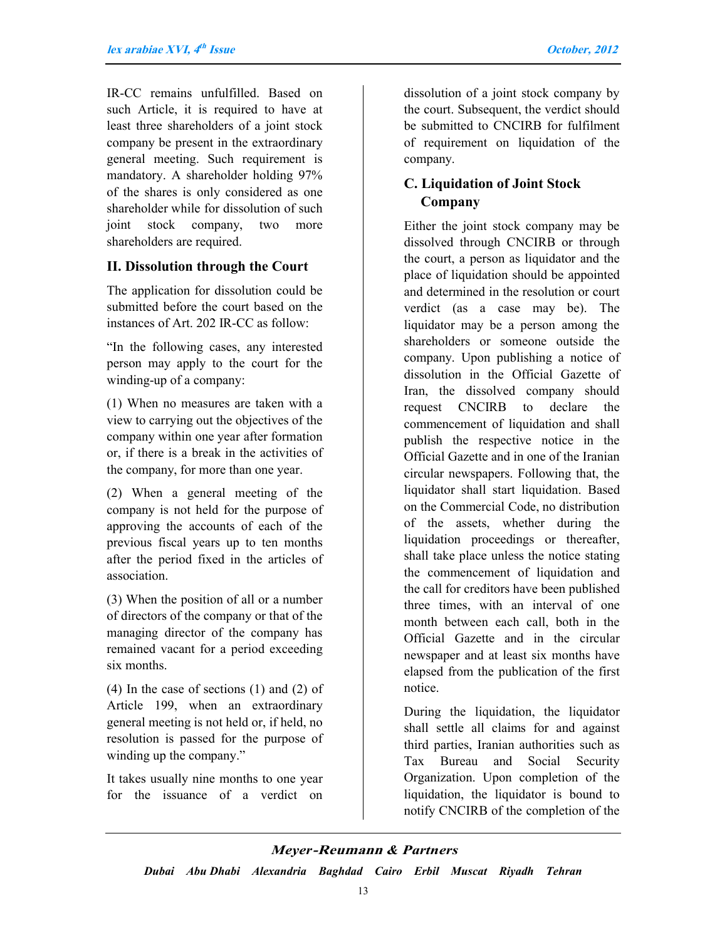IR-CC remains unfulfilled. Based on such Article, it is required to have at least three shareholders of a joint stock company be present in the extraordinary general meeting. Such requirement is mandatory. A shareholder holding 97% of the shares is only considered as one shareholder while for dissolution of such joint stock company, two more shareholders are required.

#### **II. Dissolution through the Court**

The application for dissolution could be submitted before the court based on the instances of Art. 202 IR-CC as follow:

"In the following cases, any interested person may apply to the court for the winding-up of a company:

(1) When no measures are taken with a view to carrying out the objectives of the company within one year after formation or, if there is a break in the activities of the company, for more than one year.

(2) When a general meeting of the company is not held for the purpose of approving the accounts of each of the previous fiscal years up to ten months after the period fixed in the articles of association.

(3) When the position of all or a number of directors of the company or that of the managing director of the company has remained vacant for a period exceeding six months.

(4) In the case of sections (1) and (2) of Article 199, when an extraordinary general meeting is not held or, if held, no resolution is passed for the purpose of winding up the company."

It takes usually nine months to one year for the issuance of a verdict on dissolution of a joint stock company by the court. Subsequent, the verdict should be submitted to CNCIRB for fulfilment of requirement on liquidation of the company.

#### **C. Liquidation of Joint Stock Company**

Either the joint stock company may be dissolved through CNCIRB or through the court, a person as liquidator and the place of liquidation should be appointed and determined in the resolution or court verdict (as a case may be). The liquidator may be a person among the shareholders or someone outside the company. Upon publishing a notice of dissolution in the Official Gazette of Iran, the dissolved company should request CNCIRB to declare the commencement of liquidation and shall publish the respective notice in the Official Gazette and in one of the Iranian circular newspapers. Following that, the liquidator shall start liquidation. Based on the Commercial Code, no distribution of the assets, whether during the liquidation proceedings or thereafter, shall take place unless the notice stating the commencement of liquidation and the call for creditors have been published three times, with an interval of one month between each call, both in the Official Gazette and in the circular newspaper and at least six months have elapsed from the publication of the first notice.

During the liquidation, the liquidator shall settle all claims for and against third parties, Iranian authorities such as Tax Bureau and Social Security Organization. Upon completion of the liquidation, the liquidator is bound to notify CNCIRB of the completion of the

#### *Meyer***-Reumann** *& Partners*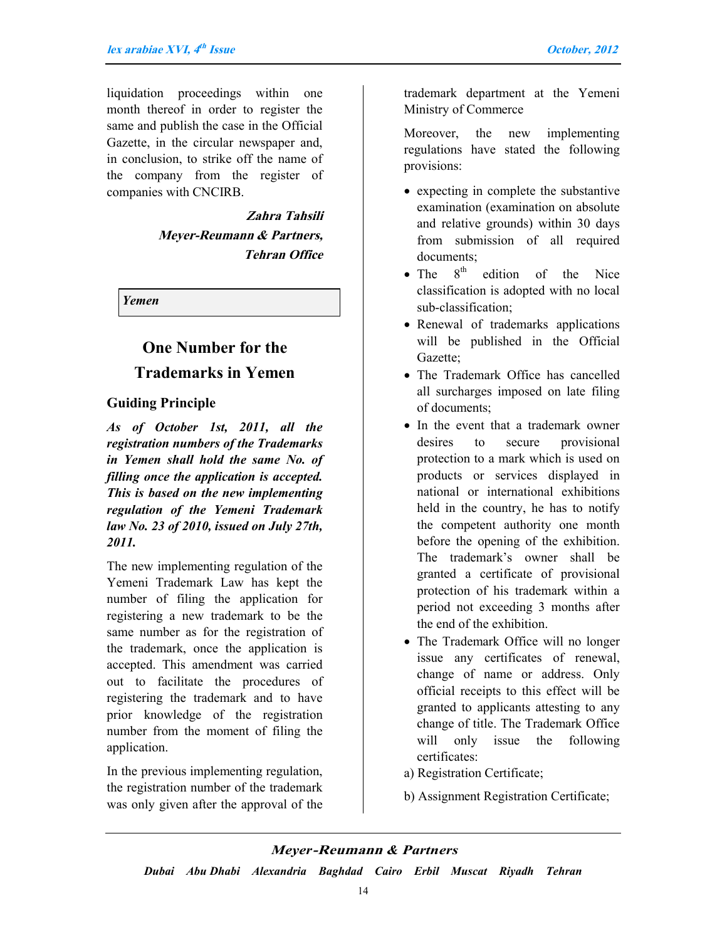liquidation proceedings within one month thereof in order to register the same and publish the case in the Official Gazette, in the circular newspaper and, in conclusion, to strike off the name of the company from the register of companies with CNCIRB.

> **Zahra Tahsili Meyer-Reumann & Partners, Tehran Office**

*Yemen*

# **One Number for the Trademarks in Yemen**

#### **Guiding Principle**

*As of October 1st, 2011, all the registration numbers of the Trademarks in Yemen shall hold the same No. of filling once the application is accepted. This is based on the new implementing regulation of the Yemeni Trademark law No. 23 of 2010, issued on July 27th, 2011.*

The new implementing regulation of the Yemeni Trademark Law has kept the number of filing the application for registering a new trademark to be the same number as for the registration of the trademark, once the application is accepted. This amendment was carried out to facilitate the procedures of registering the trademark and to have prior knowledge of the registration number from the moment of filing the application.

In the previous implementing regulation, the registration number of the trademark was only given after the approval of the trademark department at the Yemeni Ministry of Commerce

Moreover, the new implementing regulations have stated the following provisions:

- expecting in complete the substantive examination (examination on absolute and relative grounds) within 30 days from submission of all required documents;
- The  $8^{th}$  edition of the Nice classification is adopted with no local sub-classification;
- Renewal of trademarks applications will be published in the Official Gazette;
- The Trademark Office has cancelled all surcharges imposed on late filing of documents;
- In the event that a trademark owner desires to secure provisional protection to a mark which is used on products or services displayed in national or international exhibitions held in the country, he has to notify the competent authority one month before the opening of the exhibition. The trademark's owner shall be granted a certificate of provisional protection of his trademark within a period not exceeding 3 months after the end of the exhibition.
- The Trademark Office will no longer issue any certificates of renewal, change of name or address. Only official receipts to this effect will be granted to applicants attesting to any change of title. The Trademark Office will only issue the following certificates:
- a) Registration Certificate;
- b) Assignment Registration Certificate;

#### *Meyer***-Reumann** *& Partners*